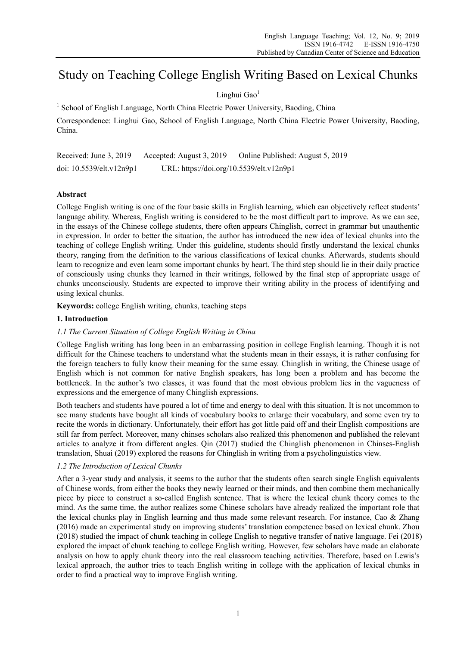# Study on Teaching College English Writing Based on Lexical Chunks

# Linghui Gao<sup>1</sup>

<sup>1</sup> School of English Language, North China Electric Power University, Baoding, China

Correspondence: Linghui Gao, School of English Language, North China Electric Power University, Baoding, China.

Received: June 3, 2019 Accepted: August 3, 2019 Online Published: August 5, 2019 doi: 10.5539/elt.v12n9p1 URL: https://doi.org/10.5539/elt.v12n9p1

# **Abstract**

College English writing is one of the four basic skills in English learning, which can objectively reflect students' language ability. Whereas, English writing is considered to be the most difficult part to improve. As we can see, in the essays of the Chinese college students, there often appears Chinglish, correct in grammar but unauthentic in expression. In order to better the situation, the author has introduced the new idea of lexical chunks into the teaching of college English writing. Under this guideline, students should firstly understand the lexical chunks theory, ranging from the definition to the various classifications of lexical chunks. Afterwards, students should learn to recognize and even learn some important chunks by heart. The third step should lie in their daily practice of consciously using chunks they learned in their writings, followed by the final step of appropriate usage of chunks unconsciously. Students are expected to improve their writing ability in the process of identifying and using lexical chunks.

**Keywords:** college English writing, chunks, teaching steps

## **1. Introduction**

# *1.1 The Current Situation of College English Writing in China*

College English writing has long been in an embarrassing position in college English learning. Though it is not difficult for the Chinese teachers to understand what the students mean in their essays, it is rather confusing for the foreign teachers to fully know their meaning for the same essay. Chinglish in writing, the Chinese usage of English which is not common for native English speakers, has long been a problem and has become the bottleneck. In the author's two classes, it was found that the most obvious problem lies in the vagueness of expressions and the emergence of many Chinglish expressions.

Both teachers and students have poured a lot of time and energy to deal with this situation. It is not uncommon to see many students have bought all kinds of vocabulary books to enlarge their vocabulary, and some even try to recite the words in dictionary. Unfortunately, their effort has got little paid off and their English compositions are still far from perfect. Moreover, many chinses scholars also realized this phenomenon and published the relevant articles to analyze it from different angles. Qin (2017) studied the Chinglish phenomenon in Chinses-English translation, Shuai (2019) explored the reasons for Chinglish in writing from a psycholinguistics view.

## *1.2 The Introduction of Lexical Chunks*

After a 3-year study and analysis, it seems to the author that the students often search single English equivalents of Chinese words, from either the books they newly learned or their minds, and then combine them mechanically piece by piece to construct a so-called English sentence. That is where the lexical chunk theory comes to the mind. As the same time, the author realizes some Chinese scholars have already realized the important role that the lexical chunks play in English learning and thus made some relevant research. For instance, Cao & Zhang (2016) made an experimental study on improving students' translation competence based on lexical chunk. Zhou (2018) studied the impact of chunk teaching in college English to negative transfer of native language. Fei (2018) explored the impact of chunk teaching to college English writing. However, few scholars have made an elaborate analysis on how to apply chunk theory into the real classroom teaching activities. Therefore, based on Lewis's lexical approach, the author tries to teach English writing in college with the application of lexical chunks in order to find a practical way to improve English writing.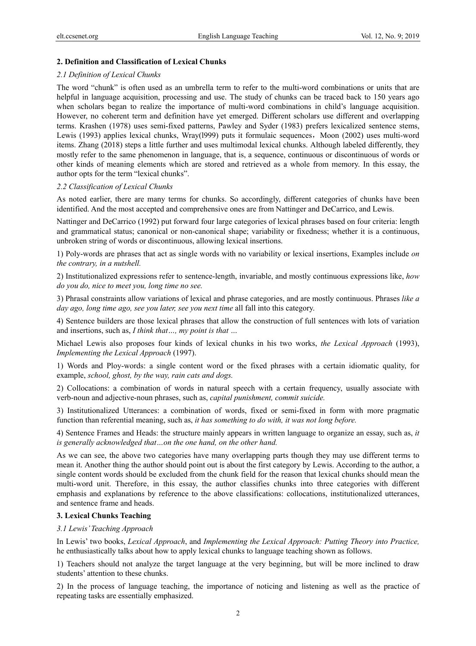### **2. Definition and Classification of Lexical Chunks**

#### *2.1 Definition of Lexical Chunks*

The word "chunk" is often used as an umbrella term to refer to the multi-word combinations or units that are helpful in language acquisition, processing and use. The study of chunks can be traced back to 150 years ago when scholars began to realize the importance of multi-word combinations in child's language acquisition. However, no coherent term and definition have yet emerged. Different scholars use different and overlapping terms. Krashen (1978) uses semi-fixed patterns, Pawley and Syder (1983) prefers lexicalized sentence stems, Lewis (1993) applies lexical chunks, Wray(1999) puts it formulaic sequences, Moon (2002) uses multi-word items. Zhang (2018) steps a little further and uses multimodal lexical chunks. Although labeled differently, they mostly refer to the same phenomenon in language, that is, a sequence, continuous or discontinuous of words or other kinds of meaning elements which are stored and retrieved as a whole from memory. In this essay, the author opts for the term "lexical chunks".

#### *2.2 Classification of Lexical Chunks*

As noted earlier, there are many terms for chunks. So accordingly, different categories of chunks have been identified. And the most accepted and comprehensive ones are from Nattinger and DeCarrico, and Lewis.

Nattinger and DeCarrico (1992) put forward four large categories of lexical phrases based on four criteria: length and grammatical status; canonical or non-canonical shape; variability or fixedness; whether it is a continuous, unbroken string of words or discontinuous, allowing lexical insertions.

1) Poly-words are phrases that act as single words with no variability or lexical insertions, Examples include *on the contrary, in a nutshell.*

2) Institutionalized expressions refer to sentence-length, invariable, and mostly continuous expressions like, *how do you do, nice to meet you, long time no see.*

3) Phrasal constraints allow variations of lexical and phrase categories, and are mostly continuous. Phrases *like a day ago, long time ago, see you later, see you next time* all fall into this category.

4) Sentence builders are those lexical phrases that allow the construction of full sentences with lots of variation and insertions, such as, *I think that…, my point is that …*

Michael Lewis also proposes four kinds of lexical chunks in his two works, *the Lexical Approach* (1993), *Implementing the Lexical Approach* (1997).

1) Words and Ploy-words: a single content word or the fixed phrases with a certain idiomatic quality, for example, *school, ghost, by the way, rain cats and dogs.*

2) Collocations: a combination of words in natural speech with a certain frequency, usually associate with verb-noun and adjective-noun phrases, such as, *capital punishment, commit suicide.* 

3) Institutionalized Utterances: a combination of words, fixed or semi-fixed in form with more pragmatic function than referential meaning, such as, *it has something to do with, it was not long before.*

4) Sentence Frames and Heads: the structure mainly appears in written language to organize an essay, such as, *it is generally acknowledged that…on the one hand, on the other hand.* 

As we can see, the above two categories have many overlapping parts though they may use different terms to mean it. Another thing the author should point out is about the first category by Lewis. According to the author, a single content words should be excluded from the chunk field for the reason that lexical chunks should mean the multi-word unit. Therefore, in this essay, the author classifies chunks into three categories with different emphasis and explanations by reference to the above classifications: collocations, institutionalized utterances, and sentence frame and heads.

## **3. Lexical Chunks Teaching**

#### *3.1 Lewis' Teaching Approach*

In Lewis' two books, *Lexical Approach*, and *Implementing the Lexical Approach: Putting Theory into Practice,* he enthusiastically talks about how to apply lexical chunks to language teaching shown as follows.

1) Teachers should not analyze the target language at the very beginning, but will be more inclined to draw students' attention to these chunks.

2) In the process of language teaching, the importance of noticing and listening as well as the practice of repeating tasks are essentially emphasized.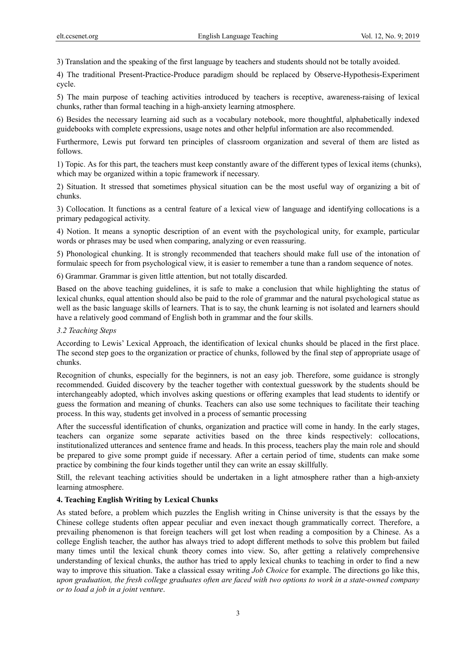3) Translation and the speaking of the first language by teachers and students should not be totally avoided.

4) The traditional Present-Practice-Produce paradigm should be replaced by Observe-Hypothesis-Experiment cycle.

5) The main purpose of teaching activities introduced by teachers is receptive, awareness-raising of lexical chunks, rather than formal teaching in a high-anxiety learning atmosphere.

6) Besides the necessary learning aid such as a vocabulary notebook, more thoughtful, alphabetically indexed guidebooks with complete expressions, usage notes and other helpful information are also recommended.

Furthermore, Lewis put forward ten principles of classroom organization and several of them are listed as follows.

1) Topic. As for this part, the teachers must keep constantly aware of the different types of lexical items (chunks), which may be organized within a topic framework if necessary.

2) Situation. It stressed that sometimes physical situation can be the most useful way of organizing a bit of chunks.

3) Collocation. It functions as a central feature of a lexical view of language and identifying collocations is a primary pedagogical activity.

4) Notion. It means a synoptic description of an event with the psychological unity, for example, particular words or phrases may be used when comparing, analyzing or even reassuring.

5) Phonological chunking. It is strongly recommended that teachers should make full use of the intonation of formulaic speech for from psychological view, it is easier to remember a tune than a random sequence of notes.

6) Grammar. Grammar is given little attention, but not totally discarded.

Based on the above teaching guidelines, it is safe to make a conclusion that while highlighting the status of lexical chunks, equal attention should also be paid to the role of grammar and the natural psychological statue as well as the basic language skills of learners. That is to say, the chunk learning is not isolated and learners should have a relatively good command of English both in grammar and the four skills.

## *3.2 Teaching Steps*

According to Lewis' Lexical Approach, the identification of lexical chunks should be placed in the first place. The second step goes to the organization or practice of chunks, followed by the final step of appropriate usage of chunks.

Recognition of chunks, especially for the beginners, is not an easy job. Therefore, some guidance is strongly recommended. Guided discovery by the teacher together with contextual guesswork by the students should be interchangeably adopted, which involves asking questions or offering examples that lead students to identify or guess the formation and meaning of chunks. Teachers can also use some techniques to facilitate their teaching process. In this way, students get involved in a process of semantic processing

After the successful identification of chunks, organization and practice will come in handy. In the early stages, teachers can organize some separate activities based on the three kinds respectively: collocations, institutionalized utterances and sentence frame and heads. In this process, teachers play the main role and should be prepared to give some prompt guide if necessary. After a certain period of time, students can make some practice by combining the four kinds together until they can write an essay skillfully.

Still, the relevant teaching activities should be undertaken in a light atmosphere rather than a high-anxiety learning atmosphere.

# **4. Teaching English Writing by Lexical Chunks**

As stated before, a problem which puzzles the English writing in Chinse university is that the essays by the Chinese college students often appear peculiar and even inexact though grammatically correct. Therefore, a prevailing phenomenon is that foreign teachers will get lost when reading a composition by a Chinese. As a college English teacher, the author has always tried to adopt different methods to solve this problem but failed many times until the lexical chunk theory comes into view. So, after getting a relatively comprehensive understanding of lexical chunks, the author has tried to apply lexical chunks to teaching in order to find a new way to improve this situation. Take a classical essay writing *Job Choice* for example. The directions go like this, *upon graduation, the fresh college graduates often are faced with two options to work in a state-owned company or to load a job in a joint venture*.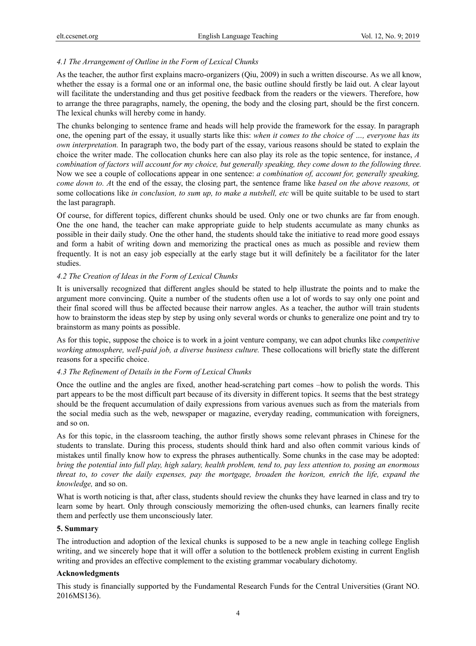## *4.1 The Arrangement of Outline in the Form of Lexical Chunks*

As the teacher, the author first explains macro-organizers (Qiu, 2009) in such a written discourse. As we all know, whether the essay is a formal one or an informal one, the basic outline should firstly be laid out. A clear layout will facilitate the understanding and thus get positive feedback from the readers or the viewers. Therefore, how to arrange the three paragraphs, namely, the opening, the body and the closing part, should be the first concern. The lexical chunks will hereby come in handy.

The chunks belonging to sentence frame and heads will help provide the framework for the essay. In paragraph one, the opening part of the essay, it usually starts like this: *when it comes to the choice of …, everyone has its own interpretation.* In paragraph two, the body part of the essay, various reasons should be stated to explain the choice the writer made. The collocation chunks here can also play its role as the topic sentence, for instance, *A combination of factors will account for my choice, but generally speaking, they come down to the following three.* Now we see a couple of collocations appear in one sentence: *a combination of, account for, generally speaking, come down to. A*t the end of the essay, the closing part, the sentence frame like *based on the above reasons, o*r some collocations like *in conclusion, to sum up, to make a nutshell, etc* will be quite suitable to be used to start the last paragraph.

Of course, for different topics, different chunks should be used. Only one or two chunks are far from enough. One the one hand, the teacher can make appropriate guide to help students accumulate as many chunks as possible in their daily study. One the other hand, the students should take the initiative to read more good essays and form a habit of writing down and memorizing the practical ones as much as possible and review them frequently. It is not an easy job especially at the early stage but it will definitely be a facilitator for the later studies.

## *4.2 The Creation of Ideas in the Form of Lexical Chunks*

It is universally recognized that different angles should be stated to help illustrate the points and to make the argument more convincing. Quite a number of the students often use a lot of words to say only one point and their final scored will thus be affected because their narrow angles. As a teacher, the author will train students how to brainstorm the ideas step by step by using only several words or chunks to generalize one point and try to brainstorm as many points as possible.

As for this topic, suppose the choice is to work in a joint venture company, we can adpot chunks like *competitive working atmosphere, well-paid job, a diverse business culture.* These collocations will briefly state the different reasons for a specific choice.

## *4.3 The Refinement of Details in the Form of Lexical Chunks*

Once the outline and the angles are fixed, another head-scratching part comes –how to polish the words. This part appears to be the most difficult part because of its diversity in different topics. It seems that the best strategy should be the frequent accumulation of daily expressions from various avenues such as from the materials from the social media such as the web, newspaper or magazine, everyday reading, communication with foreigners, and so on.

As for this topic, in the classroom teaching, the author firstly shows some relevant phrases in Chinese for the students to translate. During this process, students should think hard and also often commit various kinds of mistakes until finally know how to express the phrases authentically. Some chunks in the case may be adopted: *bring the potential into full play, high salary, health problem, tend to, pay less attention to, posing an enormous threat to*, *to cover the daily expenses, pay the mortgage, broaden the horizon, enrich the life, expand the knowledge,* and so on.

What is worth noticing is that, after class, students should review the chunks they have learned in class and try to learn some by heart. Only through consciously memorizing the often-used chunks, can learners finally recite them and perfectly use them unconsciously later.

## **5. Summary**

The introduction and adoption of the lexical chunks is supposed to be a new angle in teaching college English writing, and we sincerely hope that it will offer a solution to the bottleneck problem existing in current English writing and provides an effective complement to the existing grammar vocabulary dichotomy.

## **Acknowledgments**

This study is financially supported by the Fundamental Research Funds for the Central Universities (Grant NO. 2016MS136).